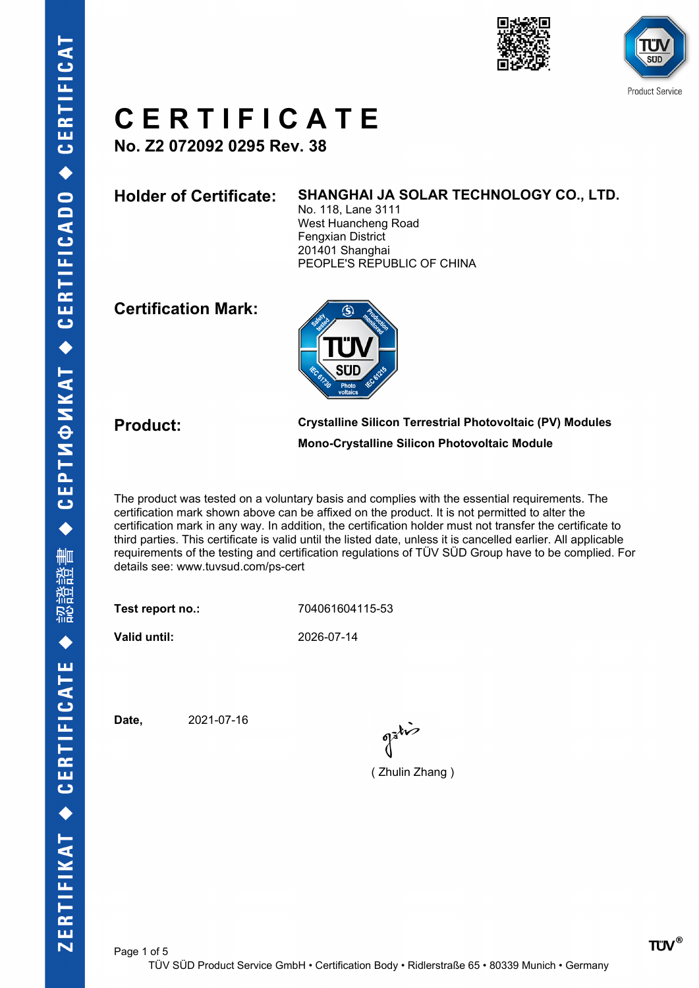



# **C E R T I F I C A T E**

**No. Z2 072092 0295 Rev. 38**

### **Holder of Certificate: SHANGHAI JA SOLAR TECHNOLOGY CO., LTD.**

No. 118, Lane 3111 West Huancheng Road Fengxian District 201401 Shanghai PEOPLE'S REPUBLIC OF CHINA

## **Certification Mark:**



**Product: Crystalline Silicon Terrestrial Photovoltaic (PV) Modules Mono-Crystalline Silicon Photovoltaic Module**

The product was tested on a voluntary basis and complies with the essential requirements. The certification mark shown above can be affixed on the product. It is not permitted to alter the certification mark in any way. In addition, the certification holder must not transfer the certificate to third parties. This certificate is valid until the listed date, unless it is cancelled earlier. All applicable requirements of the testing and certification regulations of TÜV SÜD Group have to be complied. For details see: www.tuvsud.com/ps-cert

**Test report no.:** 704061604115-53

**Valid until:** 2026-07-14

**Date,** 2021-07-16

 $\int_0^{\frac{1}{2}} dx$ 

( Zhulin Zhang )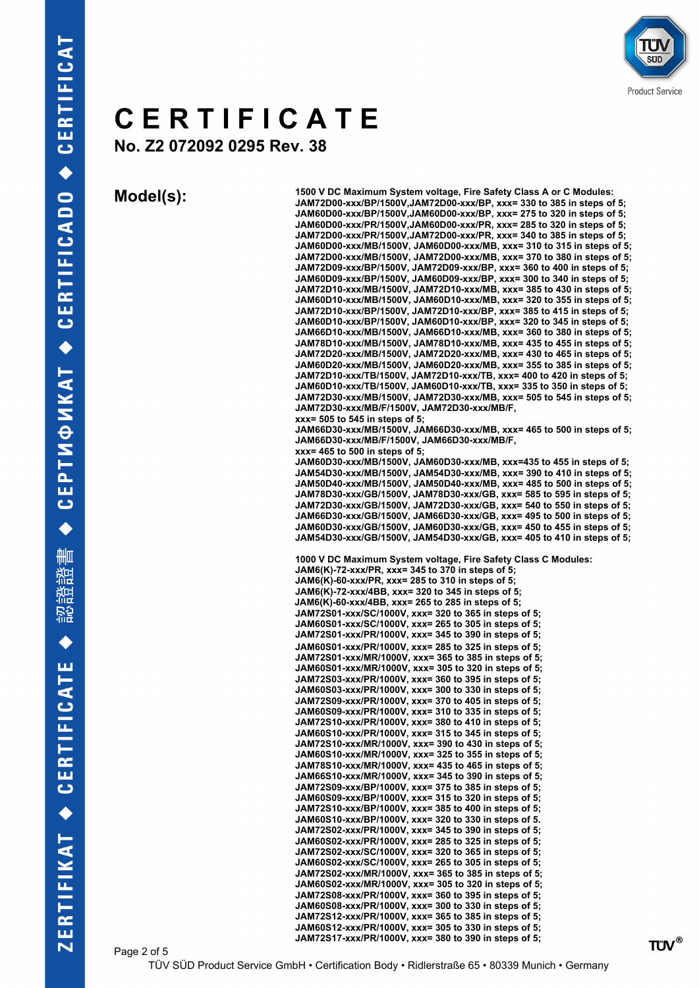

# **C E R T I F I C A T E**

**No. Z2 072092 0295 Rev. 38**

**Model(s): 1500 V DC Maximum System voltage, Fire Safety Class A or C Modules: JAM72D00-xxx/BP/1500V,JAM72D00-xxx/BP, xxx= 330 to 385 in steps of 5; JAM60D00-xxx/BP/1500V,JAM60D00-xxx/BP, xxx= 275 to 320 in steps of 5; JAM60D00-xxx/PR/1500V,JAM60D00-xxx/PR, xxx= 285 to 320 in steps of 5; JAM72D00-xxx/PR/1500V,JAM72D00-xxx/PR, xxx= 340 to 385 in steps of 5; JAM60D00-xxx/MB/1500V, JAM60D00-xxx/MB, xxx= 310 to 315 in steps of 5; JAM72D00-xxx/MB/1500V, JAM72D00-xxx/MB, xxx= 370 to 380 in steps of 5; JAM72D09-xxx/BP/1500V, JAM72D09-xxx/BP, xxx= 360 to 400 in steps of 5; JAM60D09-xxx/BP/1500V, JAM60D09-xxx/BP, xxx= 300 to 340 in steps of 5; JAM72D10-xxx/MB/1500V, JAM72D10-xxx/MB, xxx= 385 to 430 in steps of 5; JAM60D10-xxx/MB/1500V, JAM60D10-xxx/MB, xxx= 320 to 355 in steps of 5; JAM72D10-xxx/BP/1500V, JAM72D10-xxx/BP, xxx= 385 to 415 in steps of 5; JAM60D10-xxx/BP/1500V, JAM60D10-xxx/BP, xxx= 320 to 345 in steps of 5; JAM66D10-xxx/MB/1500V, JAM66D10-xxx/MB, xxx= 360 to 380 in steps of 5; JAM78D10-xxx/MB/1500V, JAM78D10-xxx/MB, xxx= 435 to 455 in steps of 5; JAM72D20-xxx/MB/1500V, JAM72D20-xxx/MB, xxx= 430 to 465 in steps of 5; JAM60D20-xxx/MB/1500V, JAM60D20-xxx/MB, xxx= 355 to 385 in steps of 5; JAM72D10-xxx/TB/1500V, JAM72D10-xxx/TB, xxx= 400 to 420 in steps of 5; JAM60D10-xxx/TB/1500V, JAM60D10-xxx/TB, xxx= 335 to 350 in steps of 5; JAM72D30-xxx/MB/1500V, JAM72D30-xxx/MB, xxx= 505 to 545 in steps of 5; JAM72D30-xxx/MB/F/1500V, JAM72D30-xxx/MB/F, xxx= 505 to 545 in steps of 5; JAM66D30-xxx/MB/1500V, JAM66D30-xxx/MB, xxx= 465 to 500 in steps of 5; JAM66D30-xxx/MB/F/1500V, JAM66D30-xxx/MB/F, xxx= 465 to 500 in steps of 5; JAM60D30-xxx/MB/1500V, JAM60D30-xxx/MB, xxx=435 to 455 in steps of 5; JAM54D30-xxx/MB/1500V, JAM54D30-xxx/MB, xxx= 390 to 410 in steps of 5; JAM50D40-xxx/MB/1500V, JAM50D40-xxx/MB, xxx= 485 to 500 in steps of 5; JAM78D30-xxx/GB/1500V, JAM78D30-xxx/GB, xxx= 585 to 595 in steps of 5; JAM72D30-xxx/GB/1500V, JAM72D30-xxx/GB, xxx= 540 to 550 in steps of 5; JAM66D30-xxx/GB/1500V, JAM66D30-xxx/GB, xxx= 495 to 500 in steps of 5; JAM60D30-xxx/GB/1500V, JAM60D30-xxx/GB, xxx= 450 to 455 in steps of 5; JAM54D30-xxx/GB/1500V, JAM54D30-xxx/GB, xxx= 405 to 410 in steps of 5; 1000 V DC Maximum System voltage, Fire Safety Class C Modules: JAM6(K)-72-xxx/PR, xxx= 345 to 370 in steps of 5; JAM6(K)-60-xxx/PR, xxx= 285 to 310 in steps of 5; JAM6(K)-72-xxx/4BB, xxx= 320 to 345 in steps of 5; JAM6(K)-60-xxx/4BB, xxx= 265 to 285 in steps of 5; JAM72S01-xxx/SC/1000V, xxx= 320 to 365 in steps of 5; JAM60S01-xxx/SC/1000V, xxx= 265 to 305 in steps of 5; JAM72S01-xxx/PR/1000V, xxx= 345 to 390 in steps of 5; JAM60S01-xxx/PR/1000V, xxx= 285 to 325 in steps of 5; JAM72S01-xxx/MR/1000V, xxx= 365 to 385 in steps of 5; JAM60S01-xxx/MR/1000V, xxx= 305 to 320 in steps of 5; JAM72S03-xxx/PR/1000V, xxx= 360 to 395 in steps of 5; JAM60S03-xxx/PR/1000V, xxx= 300 to 330 in steps of 5; JAM72S09-xxx/PR/1000V, xxx= 370 to 405 in steps of 5; JAM60S09-xxx/PR/1000V, xxx= 310 to 335 in steps of 5; JAM72S10-xxx/PR/1000V, xxx= 380 to 410 in steps of 5; JAM60S10-xxx/PR/1000V, xxx= 315 to 345 in steps of 5; JAM72S10-xxx/MR/1000V, xxx= 390 to 430 in steps of 5; JAM60S10-xxx/MR/1000V, xxx= 325 to 355 in steps of 5; JAM78S10-xxx/MR/1000V, xxx= 435 to 465 in steps of 5; JAM66S10-xxx/MR/1000V, xxx= 345 to 390 in steps of 5; JAM72S09-xxx/BP/1000V, xxx= 375 to 385 in steps of 5; JAM60S09-xxx/BP/1000V, xxx= 315 to 320 in steps of 5; JAM72S10-xxx/BP/1000V, xxx= 385 to 400 in steps of 5; JAM60S10-xxx/BP/1000V, xxx= 320 to 330 in steps of 5. JAM72S02-xxx/PR/1000V, xxx= 345 to 390 in steps of 5; JAM60S02-xxx/PR/1000V, xxx= 285 to 325 in steps of 5; JAM72S02-xxx/SC/1000V, xxx= 320 to 365 in steps of 5; JAM60S02-xxx/SC/1000V, xxx= 265 to 305 in steps of 5; JAM72S02-xxx/MR/1000V, xxx= 365 to 385 in steps of 5; JAM60S02-xxx/MR/1000V, xxx= 305 to 320 in steps of 5; JAM72S08-xxx/PR/1000V, xxx= 360 to 395 in steps of 5; JAM60S08-xxx/PR/1000V, xxx= 300 to 330 in steps of 5; JAM72S12-xxx/PR/1000V, xxx= 365 to 385 in steps of 5; JAM60S12-xxx/PR/1000V, xxx= 305 to 330 in steps of 5;**

**JAM72S17-xxx/PR/1000V, xxx= 380 to 390 in steps of 5;**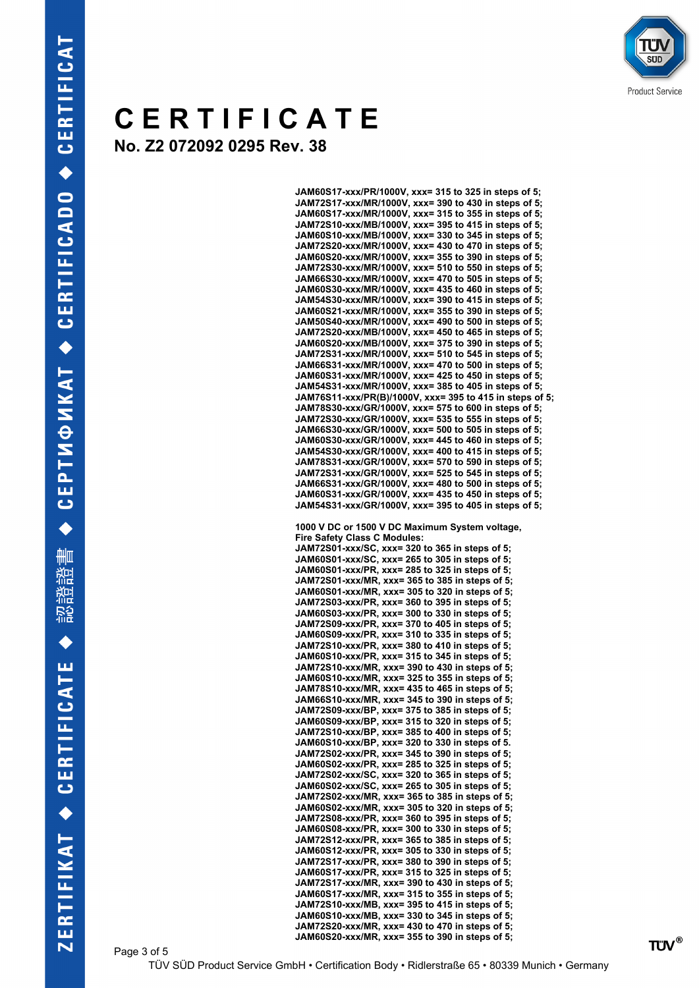

## ΤÜ Sud **Product Service**

# **C E R T I F I C A T E**

**No. Z2 072092 0295 Rev. 38**

| JAM60S17-xxx/PR/1000V, xxx= 315 to 325 in steps of 5;                                              |
|----------------------------------------------------------------------------------------------------|
| JAM72S17-xxx/MR/1000V, xxx= 390 to 430 in steps of 5;                                              |
| JAM60S17-xxx/MR/1000V, xxx= 315 to 355 in steps of 5;                                              |
| JAM72S10-xxx/MB/1000V, xxx= 395 to 415 in steps of 5;                                              |
| JAM60S10-xxx/MB/1000V, xxx= 330 to 345 in steps of 5;                                              |
|                                                                                                    |
| JAM72S20-xxx/MR/1000V, xxx= 430 to 470 in steps of 5;                                              |
| JAM60S20-xxx/MR/1000V, xxx= 355 to 390 in steps of 5;                                              |
| JAM72S30-xxx/MR/1000V, xxx= 510 to 550 in steps of 5;                                              |
| JAM66S30-xxx/MR/1000V, xxx= 470 to 505 in steps of 5;                                              |
| JAM60S30-xxx/MR/1000V, xxx= 435 to 460 in steps of 5;                                              |
|                                                                                                    |
| JAM54S30-xxx/MR/1000V, xxx= 390 to 415 in steps of 5;                                              |
| JAM60S21-xxx/MR/1000V, xxx= 355 to 390 in steps of 5;                                              |
| JAM50S40-xxx/MR/1000V, xxx= 490 to 500 in steps of 5;                                              |
| JAM72S20-xxx/MB/1000V, xxx= 450 to 465 in steps of 5;                                              |
|                                                                                                    |
| JAM60S20-xxx/MB/1000V, xxx= 375 to 390 in steps of 5;                                              |
| JAM72S31-xxx/MR/1000V, xxx= 510 to 545 in steps of 5;                                              |
| JAM66S31-xxx/MR/1000V, xxx= 470 to 500 in steps of 5;                                              |
| JAM60S31-xxx/MR/1000V, xxx= 425 to 450 in steps of 5;                                              |
| JAM54S31-xxx/MR/1000V, xxx= 385 to 405 in steps of 5;                                              |
|                                                                                                    |
| JAM76S11-xxx/PR(B)/1000V, xxx= 395 to 415 in steps of 5;                                           |
| JAM78S30-xxx/GR/1000V, xxx= 575 to 600 in steps of 5;                                              |
| JAM72S30-xxx/GR/1000V, xxx= 535 to 555 in steps of 5;                                              |
| JAM66S30-xxx/GR/1000V, xxx= 500 to 505 in steps of 5;                                              |
|                                                                                                    |
| JAM60S30-xxx/GR/1000V, xxx= 445 to 460 in steps of 5;                                              |
| JAM54S30-xxx/GR/1000V, xxx= 400 to 415 in steps of 5;                                              |
| JAM78S31-xxx/GR/1000V, xxx= 570 to 590 in steps of 5;                                              |
| JAM72S31-xxx/GR/1000V, xxx= 525 to 545 in steps of 5;                                              |
|                                                                                                    |
| JAM66S31-xxx/GR/1000V, xxx= 480 to 500 in steps of 5;                                              |
| JAM60S31-xxx/GR/1000V, xxx= 435 to 450 in steps of 5;                                              |
| JAM54S31-xxx/GR/1000V, xxx= 395 to 405 in steps of 5;                                              |
|                                                                                                    |
| 1000 V DC or 1500 V DC Maximum System voltage,                                                     |
|                                                                                                    |
| <b>Fire Safety Class C Modules:</b>                                                                |
| JAM72S01-xxx/SC, xxx= 320 to 365 in steps of 5;                                                    |
| JAM60S01-xxx/SC, xxx= 265 to 305 in steps of 5;                                                    |
| JAM60S01-xxx/PR, xxx= 285 to 325 in steps of 5;                                                    |
| JAM72S01-xxx/MR, xxx= 365 to 385 in steps of 5;                                                    |
|                                                                                                    |
| JAM60S01-xxx/MR, xxx= 305 to 320 in steps of 5;                                                    |
| JAM72S03-xxx/PR, xxx= 360 to 395 in steps of 5;                                                    |
| JAM60S03-xxx/PR, xxx= 300 to 330 in steps of 5;                                                    |
|                                                                                                    |
|                                                                                                    |
| JAM72S09-xxx/PR, xxx= 370 to 405 in steps of 5;                                                    |
| JAM60S09-xxx/PR, xxx= 310 to 335 in steps of 5;                                                    |
| JAM72S10-xxx/PR, xxx= 380 to 410 in steps of 5;                                                    |
|                                                                                                    |
| JAM60S10-xxx/PR, xxx= 315 to 345 in steps of 5;                                                    |
| JAM72S10-xxx/MR, xxx= 390 to 430 in steps of 5;                                                    |
| JAM60S10-xxx/MR, xxx= 325 to 355 in steps of 5;                                                    |
| JAM78S10-xxx/MR, xxx= 435 to 465 in steps of 5;                                                    |
| JAM66S10-xxx/MR, xxx= 345 to 390 in steps of 5;                                                    |
|                                                                                                    |
| JAM72S09-xxx/BP, xxx= 375 to 385 in steps of 5;                                                    |
| JAM60S09-xxx/BP, xxx= 315 to 320 in steps of 5;                                                    |
| JAM72S10-xxx/BP, xxx= 385 to 400 in steps of 5;                                                    |
| JAM60S10-xxx/BP, xxx= 320 to 330 in steps of 5.                                                    |
| JAM72S02-xxx/PR, xxx= 345 to 390 in steps of 5;                                                    |
|                                                                                                    |
| JAM60S02-xxx/PR, xxx= 285 to 325 in steps of 5;                                                    |
| JAM72S02-xxx/SC, xxx= 320 to 365 in steps of 5;                                                    |
| JAM60S02-xxx/SC, xxx= 265 to 305 in steps of 5;                                                    |
| JAM72S02-xxx/MR, xxx= 365 to 385 in steps of 5;                                                    |
| JAM60S02-xxx/MR, xxx= 305 to 320 in steps of 5;                                                    |
|                                                                                                    |
| JAM72S08-xxx/PR, xxx= 360 to 395 in steps of 5;                                                    |
| JAM60S08-xxx/PR, xxx= 300 to 330 in steps of 5;                                                    |
| JAM72S12-xxx/PR, xxx= 365 to 385 in steps of 5;                                                    |
| JAM60S12-xxx/PR, xxx= 305 to 330 in steps of 5;                                                    |
| JAM72S17-xxx/PR, xxx= 380 to 390 in steps of 5;                                                    |
|                                                                                                    |
| JAM60S17-xxx/PR, xxx= 315 to 325 in steps of 5;                                                    |
| JAM72S17-xxx/MR, xxx= 390 to 430 in steps of 5;                                                    |
| JAM60S17-xxx/MR, xxx= 315 to 355 in steps of 5;                                                    |
| JAM72S10-xxx/MB, xxx= 395 to 415 in steps of 5;                                                    |
|                                                                                                    |
| JAM60S10-xxx/MB, xxx= 330 to 345 in steps of 5;                                                    |
| JAM72S20-xxx/MR, xxx= 430 to 470 in steps of 5;<br>JAM60S20-xxx/MR, xxx= 355 to 390 in steps of 5; |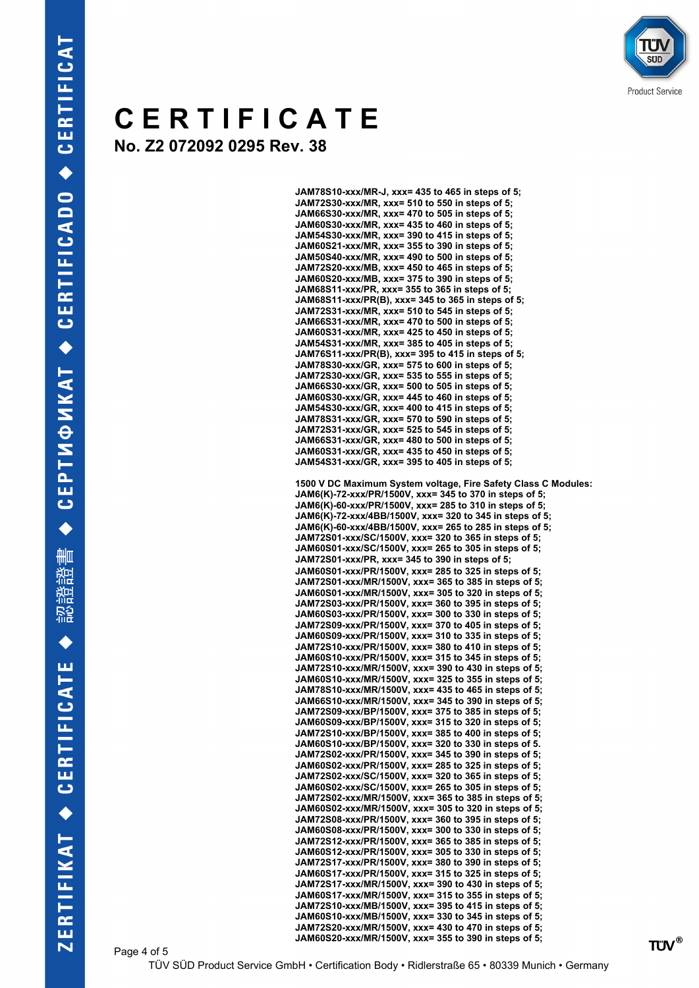## **C E R T I F I C A T E No. Z2 072092 0295 Rev. 38**

```
JAM78S10-xxx/MR-J, xxx= 435 to 465 in steps of 5;
JAM72S30-xxx/MR, xxx= 510 to 550 in steps of 5;
JAM66S30-xxx/MR, xxx= 470 to 505 in steps of 5;
JAM60S30-xxx/MR, xxx= 435 to 460 in steps of 5;
JAM54S30-xxx/MR, xxx= 390 to 415 in steps of 5;
JAM60S21-xxx/MR, xxx= 355 to 390 in steps of 5;
JAM50S40-xxx/MR, xxx= 490 to 500 in steps of 5;
JAM72S20-xxx/MB, xxx= 450 to 465 in steps of 5;
JAM60S20-xxx/MB, xxx= 375 to 390 in steps of 5;
JAM68S11-xxx/PR, xxx= 355 to 365 in steps of 5;
JAM68S11-xxx/PR(B), xxx= 345 to 365 in steps of 5;
JAM72S31-xxx/MR, xxx= 510 to 545 in steps of 5;
JAM66S31-xxx/MR, xxx= 470 to 500 in steps of 5;
JAM60S31-xxx/MR, xxx= 425 to 450 in steps of 5;
JAM54S31-xxx/MR, xxx= 385 to 405 in steps of 5;
JAM76S11-xxx/PR(B), xxx= 395 to 415 in steps of 5;
JAM78S30-xxx/GR, xxx= 575 to 600 in steps of 5;
JAM72S30-xxx/GR, xxx= 535 to 555 in steps of 5;
JAM66S30-xxx/GR, xxx= 500 to 505 in steps of 5;
JAM60S30-xxx/GR, xxx= 445 to 460 in steps of 5;
JAM54S30-xxx/GR, xxx= 400 to 415 in steps of 5;
JAM78S31-xxx/GR, xxx= 570 to 590 in steps of 5;
JAM72S31-xxx/GR, xxx= 525 to 545 in steps of 5;
JAM66S31-xxx/GR, xxx= 480 to 500 in steps of 5;
JAM60S31-xxx/GR, xxx= 435 to 450 in steps of 5;
JAM54S31-xxx/GR, xxx= 395 to 405 in steps of 5;
1500 V DC Maximum System voltage, Fire Safety Class C Modules:
JAM6(K)-72-xxx/PR/1500V, xxx= 345 to 370 in steps of 5;
JAM6(K)-60-xxx/PR/1500V, xxx= 285 to 310 in steps of 5;
JAM6(K)-72-xxx/4BB/1500V, xxx= 320 to 345 in steps of 5;
JAM6(K)-60-xxx/4BB/1500V, xxx= 265 to 285 in steps of 5;
JAM72S01-xxx/SC/1500V, xxx= 320 to 365 in steps of 5;
JAM60S01-xxx/SC/1500V, xxx= 265 to 305 in steps of 5;
JAM72S01-xxx/PR, xxx= 345 to 390 in steps of 5;
JAM60S01-xxx/PR/1500V, xxx= 285 to 325 in steps of 5;
JAM72S01-xxx/MR/1500V, xxx= 365 to 385 in steps of 5;
JAM60S01-xxx/MR/1500V, xxx= 305 to 320 in steps of 5;
JAM72S03-xxx/PR/1500V, xxx= 360 to 395 in steps of 5;
JAM60S03-xxx/PR/1500V, xxx= 300 to 330 in steps of 5;
JAM72S09-xxx/PR/1500V, xxx= 370 to 405 in steps of 5;
JAM60S09-xxx/PR/1500V, xxx= 310 to 335 in steps of 5;
JAM72S10-xxx/PR/1500V, xxx= 380 to 410 in steps of 5;
JAM60S10-xxx/PR/1500V, xxx= 315 to 345 in steps of 5;
JAM72S10-xxx/MR/1500V, xxx= 390 to 430 in steps of 5;
JAM60S10-xxx/MR/1500V, xxx= 325 to 355 in steps of 5;
JAM78S10-xxx/MR/1500V, xxx= 435 to 465 in steps of 5;
JAM66S10-xxx/MR/1500V, xxx= 345 to 390 in steps of 5;
JAM72S09-xxx/BP/1500V, xxx= 375 to 385 in steps of 5;
JAM60S09-xxx/BP/1500V, xxx= 315 to 320 in steps of 5;
JAM72S10-xxx/BP/1500V, xxx= 385 to 400 in steps of 5;
JAM60S10-xxx/BP/1500V, xxx= 320 to 330 in steps of 5.
JAM72S02-xxx/PR/1500V, xxx= 345 to 390 in steps of 5;
JAM60S02-xxx/PR/1500V, xxx= 285 to 325 in steps of 5;
JAM72S02-xxx/SC/1500V, xxx= 320 to 365 in steps of 5;
JAM60S02-xxx/SC/1500V, xxx= 265 to 305 in steps of 5;
JAM72S02-xxx/MR/1500V, xxx= 365 to 385 in steps of 5;
JAM60S02-xxx/MR/1500V, xxx= 305 to 320 in steps of 5;
JAM72S08-xxx/PR/1500V, xxx= 360 to 395 in steps of 5;
JAM60S08-xxx/PR/1500V, xxx= 300 to 330 in steps of 5;
JAM72S12-xxx/PR/1500V, xxx= 365 to 385 in steps of 5;
JAM60S12-xxx/PR/1500V, xxx= 305 to 330 in steps of 5;
JAM72S17-xxx/PR/1500V, xxx= 380 to 390 in steps of 5;
JAM60S17-xxx/PR/1500V, xxx= 315 to 325 in steps of 5;
JAM72S17-xxx/MR/1500V, xxx= 390 to 430 in steps of 5;
JAM60S17-xxx/MR/1500V, xxx= 315 to 355 in steps of 5;
JAM72S10-xxx/MB/1500V, xxx= 395 to 415 in steps of 5;
JAM60S10-xxx/MB/1500V, xxx= 330 to 345 in steps of 5;
JAM72S20-xxx/MR/1500V, xxx= 430 to 470 in steps of 5;
JAM60S20-xxx/MR/1500V, xxx= 355 to 390 in steps of 5;
```